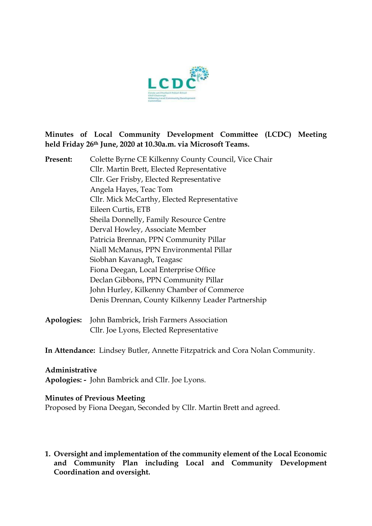

### **Minutes of Local Community Development Committee (LCDC) Meeting held Friday 26th June, 2020 at 10.30a.m. via Microsoft Teams.**

**Present:** Colette Byrne CE Kilkenny County Council, Vice Chair Cllr. Martin Brett, Elected Representative Cllr. Ger Frisby, Elected Representative Angela Hayes, Teac Tom Cllr. Mick McCarthy, Elected Representative Eileen Curtis, ETB Sheila Donnelly, Family Resource Centre Derval Howley, Associate Member Patricia Brennan, PPN Community Pillar Niall McManus, PPN Environmental Pillar Siobhan Kavanagh, Teagasc Fiona Deegan, Local Enterprise Office Declan Gibbons, PPN Community Pillar John Hurley, Kilkenny Chamber of Commerce Denis Drennan, County Kilkenny Leader Partnership

**Apologies:** John Bambrick, Irish Farmers Association Cllr. Joe Lyons, Elected Representative

**In Attendance:** Lindsey Butler, Annette Fitzpatrick and Cora Nolan Community.

### **Administrative**

**Apologies: -** John Bambrick and Cllr. Joe Lyons.

### **Minutes of Previous Meeting**

Proposed by Fiona Deegan, Seconded by Cllr. Martin Brett and agreed.

**1. Oversight and implementation of the community element of the Local Economic and Community Plan including Local and Community Development Coordination and oversight.**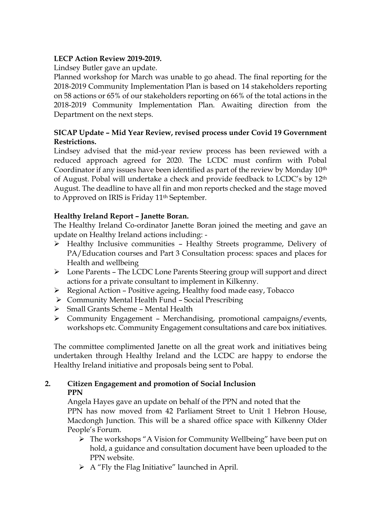# **LECP Action Review 2019-2019.**

Lindsey Butler gave an update.

Planned workshop for March was unable to go ahead. The final reporting for the 2018-2019 Community Implementation Plan is based on 14 stakeholders reporting on 58 actions or 65% of our stakeholders reporting on 66% of the total actions in the 2018-2019 Community Implementation Plan. Awaiting direction from the Department on the next steps.

# **SICAP Update – Mid Year Review, revised process under Covid 19 Government Restrictions.**

Lindsey advised that the mid-year review process has been reviewed with a reduced approach agreed for 2020. The LCDC must confirm with Pobal Coordinator if any issues have been identified as part of the review by Monday 10th of August. Pobal will undertake a check and provide feedback to LCDC's by 12th August. The deadline to have all fin and mon reports checked and the stage moved to Approved on IRIS is Friday 11th September.

## **Healthy Ireland Report – Janette Boran.**

The Healthy Ireland Co-ordinator Janette Boran joined the meeting and gave an update on Healthy Ireland actions including: -

- ➢ Healthy Inclusive communities Healthy Streets programme, Delivery of PA/Education courses and Part 3 Consultation process: spaces and places for Health and wellbeing
- ➢ Lone Parents The LCDC Lone Parents Steering group will support and direct actions for a private consultant to implement in Kilkenny.
- ➢ Regional Action Positive ageing, Healthy food made easy, Tobacco
- ➢ Community Mental Health Fund Social Prescribing
- ➢ Small Grants Scheme Mental Health
- ➢ Community Engagement Merchandising, promotional campaigns/events, workshops etc. Community Engagement consultations and care box initiatives.

The committee complimented Janette on all the great work and initiatives being undertaken through Healthy Ireland and the LCDC are happy to endorse the Healthy Ireland initiative and proposals being sent to Pobal.

# **2. Citizen Engagement and promotion of Social Inclusion**

## **PPN**

Angela Hayes gave an update on behalf of the PPN and noted that the PPN has now moved from 42 Parliament Street to Unit 1 Hebron House, Macdongh Junction. This will be a shared office space with Kilkenny Older People's Forum.

- ➢ The workshops "A Vision for Community Wellbeing" have been put on hold, a guidance and consultation document have been uploaded to the PPN website.
- $\triangleright$  A "Fly the Flag Initiative" launched in April.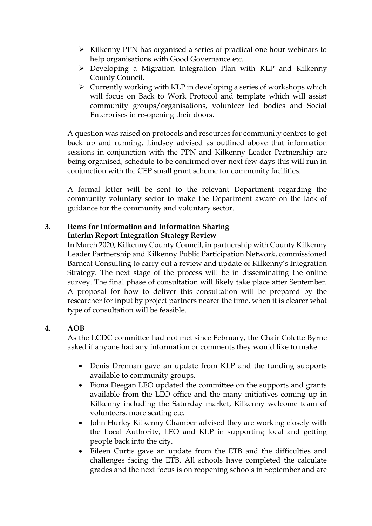- ➢ Kilkenny PPN has organised a series of practical one hour webinars to help organisations with Good Governance etc.
- ➢ Developing a Migration Integration Plan with KLP and Kilkenny County Council.
- $\triangleright$  Currently working with KLP in developing a series of workshops which will focus on Back to Work Protocol and template which will assist community groups/organisations, volunteer led bodies and Social Enterprises in re-opening their doors.

A question was raised on protocols and resources for community centres to get back up and running. Lindsey advised as outlined above that information sessions in conjunction with the PPN and Kilkenny Leader Partnership are being organised, schedule to be confirmed over next few days this will run in conjunction with the CEP small grant scheme for community facilities.

A formal letter will be sent to the relevant Department regarding the community voluntary sector to make the Department aware on the lack of guidance for the community and voluntary sector.

# **3. Items for Information and Information Sharing Interim Report Integration Strategy Review**

In March 2020, Kilkenny County Council, in partnership with County Kilkenny Leader Partnership and Kilkenny Public Participation Network, commissioned Barncat Consulting to carry out a review and update of Kilkenny's Integration Strategy. The next stage of the process will be in disseminating the online survey. The final phase of consultation will likely take place after September. A proposal for how to deliver this consultation will be prepared by the researcher for input by project partners nearer the time, when it is clearer what type of consultation will be feasible.

# **4. AOB**

As the LCDC committee had not met since February, the Chair Colette Byrne asked if anyone had any information or comments they would like to make.

- Denis Drennan gave an update from KLP and the funding supports available to community groups.
- Fiona Deegan LEO updated the committee on the supports and grants available from the LEO office and the many initiatives coming up in Kilkenny including the Saturday market, Kilkenny welcome team of volunteers, more seating etc.
- John Hurley Kilkenny Chamber advised they are working closely with the Local Authority, LEO and KLP in supporting local and getting people back into the city.
- Eileen Curtis gave an update from the ETB and the difficulties and challenges facing the ETB. All schools have completed the calculate grades and the next focus is on reopening schools in September and are